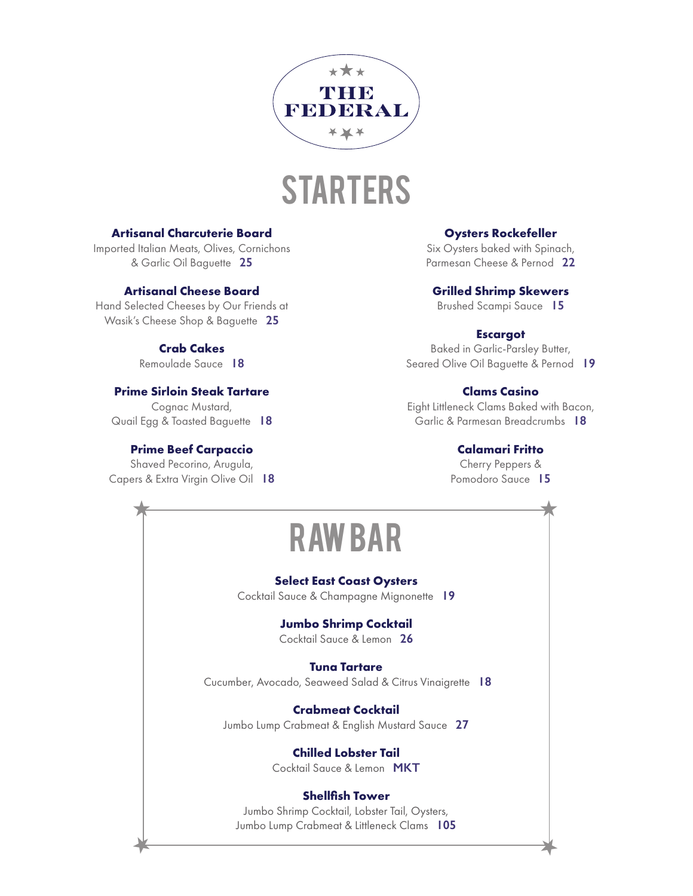

### **STARTERS**

### **Artisanal Charcuterie Board**

Imported Italian Meats, Olives, Cornichons & Garlic Oil Baguette **25**

### **Artisanal Cheese Board**

Hand Selected Cheeses by Our Friends at Wasik's Cheese Shop & Baguette **25**

### **Crab Cakes**

Remoulade Sauce **18**

### **Prime Sirloin Steak Tartare**

Cognac Mustard, Quail Egg & Toasted Baguette **18**

### **Prime Beef Carpaccio**

Shaved Pecorino, Arugula, Capers & Extra Virgin Olive Oil **18**

 $\bigstar$ 

### **Oysters Rockefeller**

Six Oysters baked with Spinach, Parmesan Cheese & Pernod **22**

### **Grilled Shrimp Skewers**

Brushed Scampi Sauce **15**

### **Escargot**

Baked in Garlic-Parsley Butter, Seared Olive Oil Baguette & Pernod **19**

### **Clams Casino**

Eight Littleneck Clams Baked with Bacon, Garlic & Parmesan Breadcrumbs **18**

### **Calamari Fritto**

Cherry Peppers & Pomodoro Sauce **15**

 $\bigstar$ 

### RAW BAR  $\star$

### **Select East Coast Oysters**  Cocktail Sauce & Champagne Mignonette **19**

### **Jumbo Shrimp Cocktail**

Cocktail Sauce & Lemon **26**

### **Tuna Tartare**

Cucumber, Avocado, Seaweed Salad & Citrus Vinaigrette **18**

**Crabmeat Cocktail** Jumbo Lump Crabmeat & English Mustard Sauce **27**

> **Chilled Lobster Tail** Cocktail Sauce & Lemon **MKT**

### **Shellfish Tower**

Jumbo Shrimp Cocktail, Lobster Tail, Oysters, Jumbo Lump Crabmeat & Littleneck Clams **105**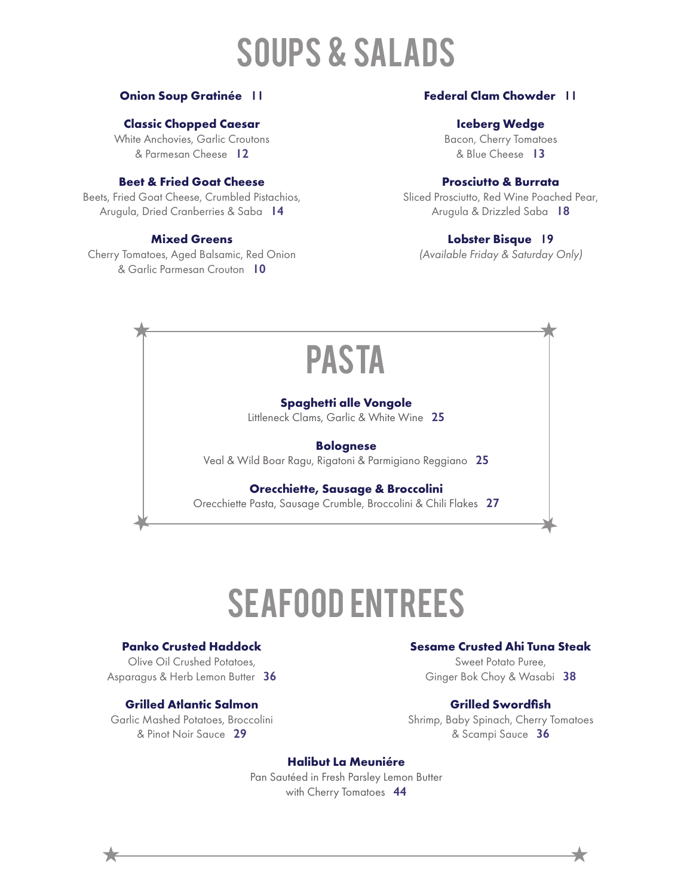# Soups & Salads

### **Onion Soup Gratinée 11**

### **Classic Chopped Caesar**

White Anchovies, Garlic Croutons & Parmesan Cheese **12**

### **Beet & Fried Goat Cheese**

Beets, Fried Goat Cheese, Crumbled Pistachios, Arugula, Dried Cranberries & Saba **14**

### **Mixed Greens**

Cherry Tomatoes, Aged Balsamic, Red Onion & Garlic Parmesan Crouton **10**

### **Federal Clam Chowder 11**

### **Iceberg Wedge**

Bacon, Cherry Tomatoes & Blue Cheese **13**

### **Prosciutto & Burrata**

Sliced Prosciutto, Red Wine Poached Pear, Arugula & Drizzled Saba **18**

### **Lobster Bisque 19**

*(Available Friday & Saturday Only)*

### PASTA  $\star$

#### **Spaghetti alle Vongole**

Littleneck Clams, Garlic & White Wine **25**

### **Bolognese**

Veal & Wild Boar Ragu, Rigatoni & Parmigiano Reggiano **25**

#### **Orecchiette, Sausage & Broccolini**

Orecchiette Pasta, Sausage Crumble, Broccolini & Chili Flakes **27**

# SEAFOOD ENTREES

### **Panko Crusted Haddock**

 $\bigstar$ 

Olive Oil Crushed Potatoes, Asparagus & Herb Lemon Butter **36**

### **Grilled Atlantic Salmon**

Garlic Mashed Potatoes, Broccolini & Pinot Noir Sauce **29**

### **Sesame Crusted Ahi Tuna Steak**

 $\overline{\phantom{a}}$ 

Sweet Potato Puree, Ginger Bok Choy & Wasabi **38**

### **Grilled Swordfish**

Shrimp, Baby Spinach, Cherry Tomatoes & Scampi Sauce **36**

### **Halibut La Meuniére**

Pan Sautéed in Fresh Parsley Lemon Butter with Cherry Tomatoes **44**

 $\star$   $\overbrace{\phantom{aaaaa}}$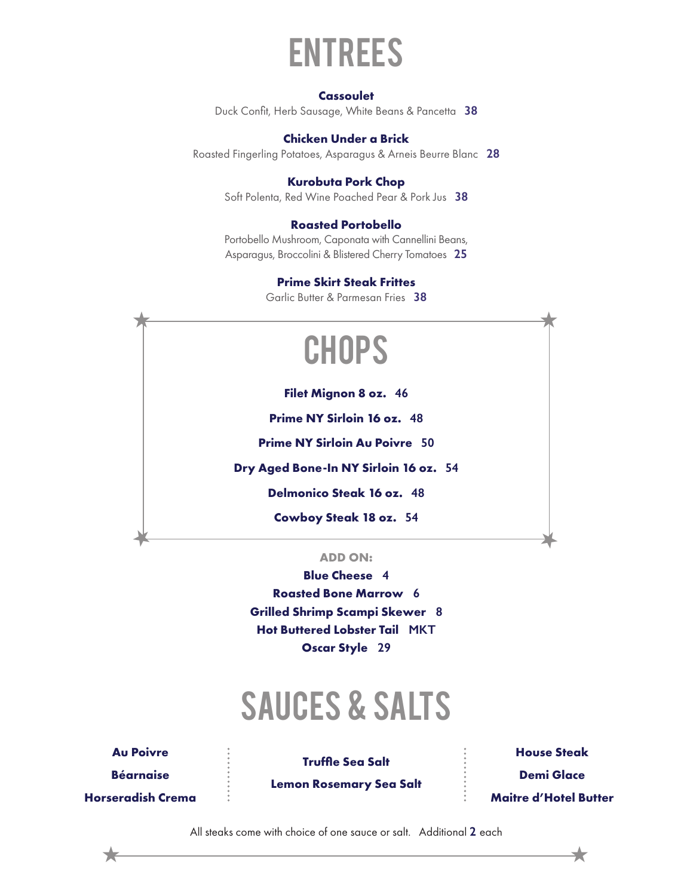

#### **Cassoulet**

Duck Confit, Herb Sausage, White Beans & Pancetta **38** 

### **Chicken Under a Brick**

Roasted Fingerling Potatoes, Asparagus & Arneis Beurre Blanc **28**

### **Kurobuta Pork Chop**

Soft Polenta, Red Wine Poached Pear & Pork Jus **38**

### **Roasted Portobello**

Portobello Mushroom, Caponata with Cannellini Beans, Asparagus, Broccolini & Blistered Cherry Tomatoes **25**

### **Prime Skirt Steak Frittes**

Garlic Butter & Parmesan Fries **38**

 $\star$ 

## **CHOPS**

**Filet Mignon 8 oz. 46**

**Prime NY Sirloin 16 oz. 48**

**Prime NY Sirloin Au Poivre 50**

**Dry Aged Bone-In NY Sirloin 16 oz. 54**

**Delmonico Steak 16 oz. 48**

**Cowboy Steak 18 oz. 54**

### **ADD ON:**

**Blue Cheese 4 Roasted Bone Marrow 6 Grilled Shrimp Scampi Skewer 8 Hot Buttered Lobster Tail MKT Oscar Style 29**

# Sauces & SALTS

**Au Poivre Béarnaise Horseradish Crema**

 $\bigstar$ 

**Truffle Sea Salt** 

**Lemon Rosemary Sea Salt**

**House Steak Demi Glace Maitre d'Hotel Butter**

 $\overline{\phantom{a}}$ 

All steaks come with choice of one sauce or salt. Additional **2** each  $\star$   $\overbrace{\phantom{aaaaa}}$